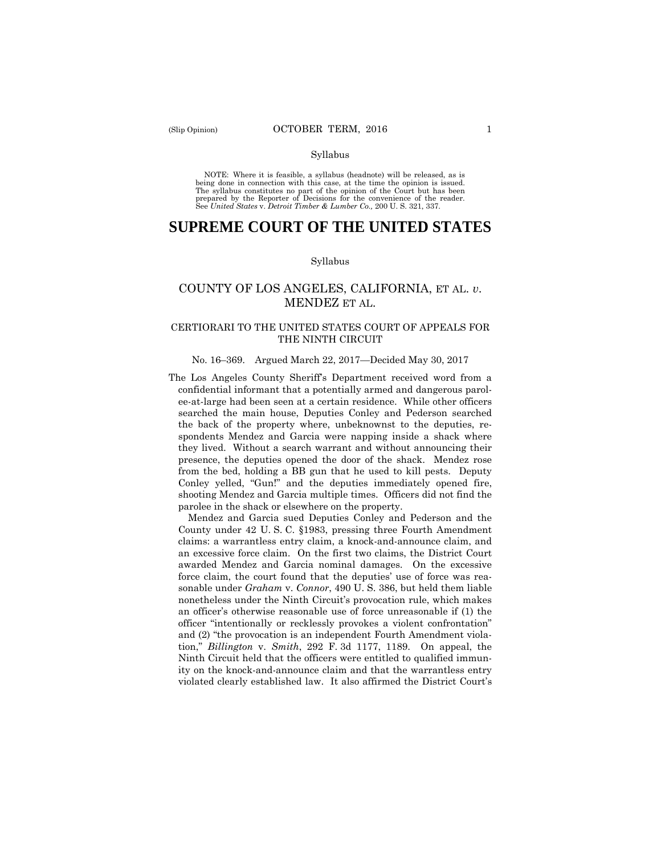#### Syllabus

 NOTE: Where it is feasible, a syllabus (headnote) will be released, as is being done in connection with this case, at the time the opinion is issued. The syllabus constitutes no part of the opinion of the Court but has been<br>prepared by the Reporter of Decisions for the convenience of the reader.<br>See United States v. Detroit Timber & Lumber Co., 200 U.S. 321, 337.

# **SUPREME COURT OF THE UNITED STATES**

#### Syllabus

# COUNTY OF LOS ANGELES, CALIFORNIA, ET AL. *v*. MENDEZ ET AL.

# CERTIORARI TO THE UNITED STATES COURT OF APPEALS FOR THE NINTH CIRCUIT

# No. 16–369. Argued March 22, 2017—Decided May 30, 2017

The Los Angeles County Sheriff's Department received word from a confidential informant that a potentially armed and dangerous parolee-at-large had been seen at a certain residence. While other officers searched the main house, Deputies Conley and Pederson searched the back of the property where, unbeknownst to the deputies, respondents Mendez and Garcia were napping inside a shack where they lived. Without a search warrant and without announcing their presence, the deputies opened the door of the shack. Mendez rose from the bed, holding a BB gun that he used to kill pests. Deputy Conley yelled, "Gun!" and the deputies immediately opened fire, shooting Mendez and Garcia multiple times. Officers did not find the parolee in the shack or elsewhere on the property.

Mendez and Garcia sued Deputies Conley and Pederson and the County under 42 U. S. C. §1983, pressing three Fourth Amendment claims: a warrantless entry claim, a knock-and-announce claim, and an excessive force claim. On the first two claims, the District Court awarded Mendez and Garcia nominal damages. On the excessive force claim, the court found that the deputies' use of force was reasonable under *Graham* v. *Connor*, 490 U. S. 386, but held them liable nonetheless under the Ninth Circuit's provocation rule, which makes an officer's otherwise reasonable use of force unreasonable if (1) the officer "intentionally or recklessly provokes a violent confrontation" and (2) "the provocation is an independent Fourth Amendment violation," *Billington* v. *Smith*, 292 F. 3d 1177, 1189. On appeal, the Ninth Circuit held that the officers were entitled to qualified immunity on the knock-and-announce claim and that the warrantless entry violated clearly established law. It also affirmed the District Court's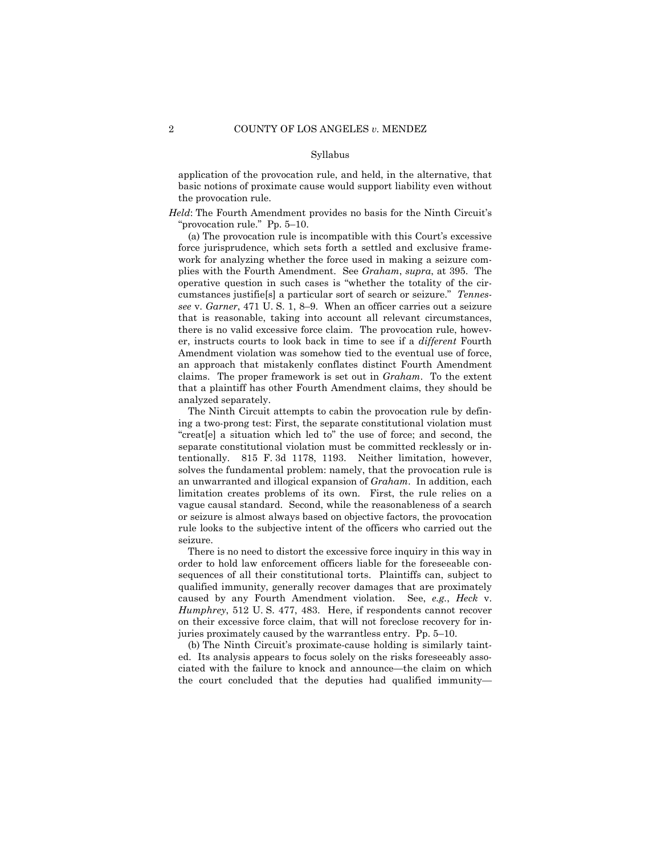#### Syllabus

application of the provocation rule, and held, in the alternative, that basic notions of proximate cause would support liability even without the provocation rule.

### *Held*: The Fourth Amendment provides no basis for the Ninth Circuit's "provocation rule." Pp. 5–10.

 cumstances justifie[s] a particular sort of search or seizure." *Tennes-*(a) The provocation rule is incompatible with this Court's excessive force jurisprudence, which sets forth a settled and exclusive framework for analyzing whether the force used in making a seizure complies with the Fourth Amendment. See *Graham*, *supra*, at 395. The operative question in such cases is "whether the totality of the cir*see* v. *Garner*, 471 U. S. 1, 8–9. When an officer carries out a seizure that is reasonable, taking into account all relevant circumstances, there is no valid excessive force claim. The provocation rule, however, instructs courts to look back in time to see if a *different* Fourth Amendment violation was somehow tied to the eventual use of force, an approach that mistakenly conflates distinct Fourth Amendment claims. The proper framework is set out in *Graham*. To the extent that a plaintiff has other Fourth Amendment claims, they should be analyzed separately.

The Ninth Circuit attempts to cabin the provocation rule by defining a two-prong test: First, the separate constitutional violation must "creat[e] a situation which led to" the use of force; and second, the separate constitutional violation must be committed recklessly or intentionally. 815 F. 3d 1178, 1193. Neither limitation, however, solves the fundamental problem: namely, that the provocation rule is an unwarranted and illogical expansion of *Graham*. In addition, each limitation creates problems of its own. First, the rule relies on a vague causal standard. Second, while the reasonableness of a search or seizure is almost always based on objective factors, the provocation rule looks to the subjective intent of the officers who carried out the seizure.

There is no need to distort the excessive force inquiry in this way in order to hold law enforcement officers liable for the foreseeable consequences of all their constitutional torts. Plaintiffs can, subject to qualified immunity, generally recover damages that are proximately caused by any Fourth Amendment violation. See, *e.g.*, *Heck* v. *Humphrey*, 512 U. S. 477, 483. Here, if respondents cannot recover on their excessive force claim, that will not foreclose recovery for injuries proximately caused by the warrantless entry. Pp. 5–10.

(b) The Ninth Circuit's proximate-cause holding is similarly tainted. Its analysis appears to focus solely on the risks foreseeably associated with the failure to knock and announce—the claim on which the court concluded that the deputies had qualified immunity—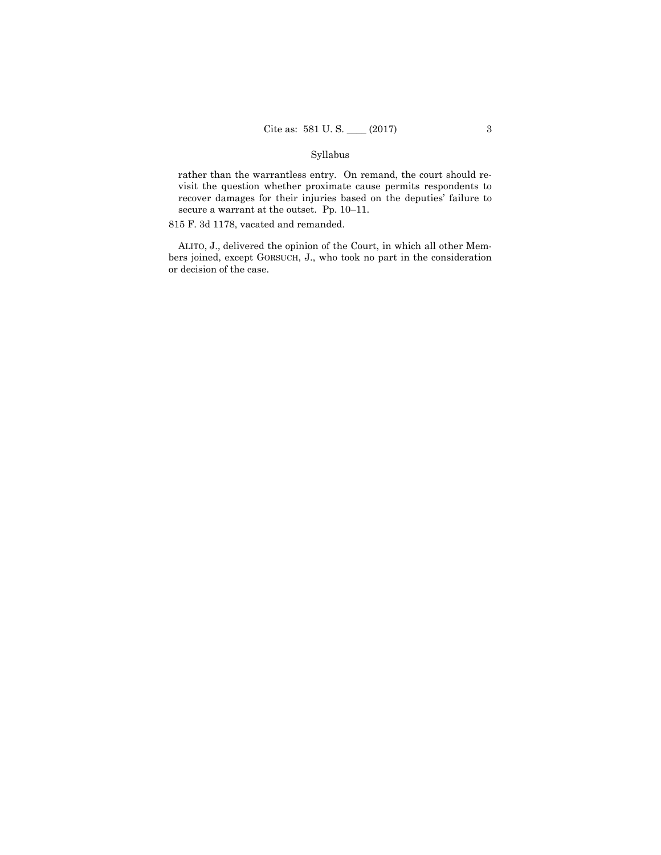# Syllabus

rather than the warrantless entry. On remand, the court should revisit the question whether proximate cause permits respondents to recover damages for their injuries based on the deputies' failure to secure a warrant at the outset. Pp. 10–11.

# 815 F. 3d 1178, vacated and remanded.

 ALITO, J., delivered the opinion of the Court, in which all other Members joined, except GORSUCH, J., who took no part in the consideration or decision of the case.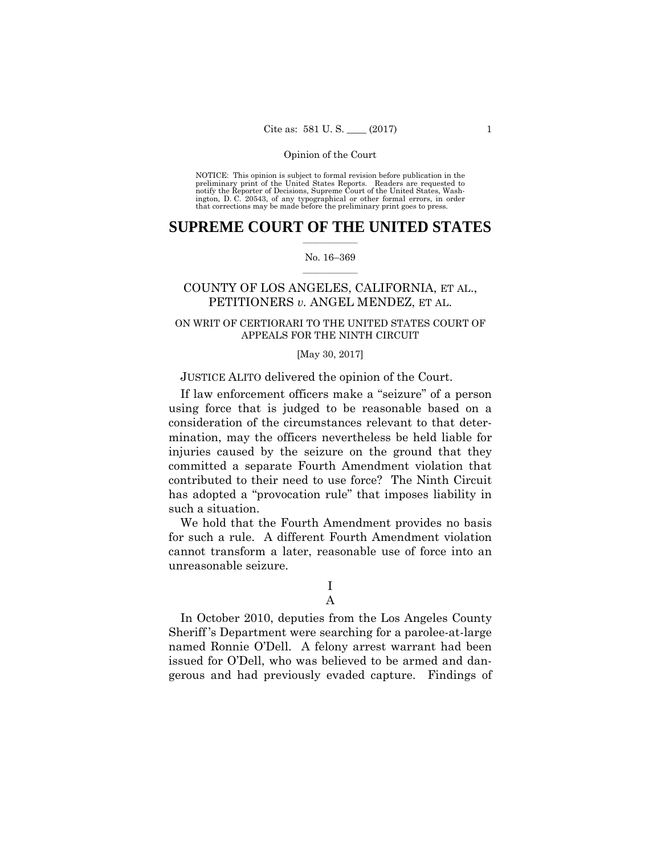preliminary print of the United States Reports. Readers are requested to notify the Reporter of Decisions, Supreme Court of the United States, Wash- ington, D. C. 20543, of any typographical or other formal errors, in order that corrections may be made before the preliminary print goes to press. NOTICE: This opinion is subject to formal revision before publication in the

# $\frac{1}{2}$  ,  $\frac{1}{2}$  ,  $\frac{1}{2}$  ,  $\frac{1}{2}$  ,  $\frac{1}{2}$  ,  $\frac{1}{2}$  ,  $\frac{1}{2}$ **SUPREME COURT OF THE UNITED STATES**

# $\frac{1}{2}$  ,  $\frac{1}{2}$  ,  $\frac{1}{2}$  ,  $\frac{1}{2}$  ,  $\frac{1}{2}$  ,  $\frac{1}{2}$ No. 16–369

# COUNTY OF LOS ANGELES, CALIFORNIA, ET AL., PETITIONERS *v.* ANGEL MENDEZ, ET AL.

# ON WRIT OF CERTIORARI TO THE UNITED STATES COURT OF APPEALS FOR THE NINTH CIRCUIT

# [May 30, 2017]

# JUSTICE ALITO delivered the opinion of the Court.

If law enforcement officers make a "seizure" of a person using force that is judged to be reasonable based on a consideration of the circumstances relevant to that determination, may the officers nevertheless be held liable for injuries caused by the seizure on the ground that they committed a separate Fourth Amendment violation that contributed to their need to use force? The Ninth Circuit has adopted a "provocation rule" that imposes liability in such a situation.

We hold that the Fourth Amendment provides no basis for such a rule. A different Fourth Amendment violation cannot transform a later, reasonable use of force into an unreasonable seizure.

# I A

In October 2010, deputies from the Los Angeles County Sheriff 's Department were searching for a parolee-at-large named Ronnie O'Dell. A felony arrest warrant had been issued for O'Dell, who was believed to be armed and dangerous and had previously evaded capture. Findings of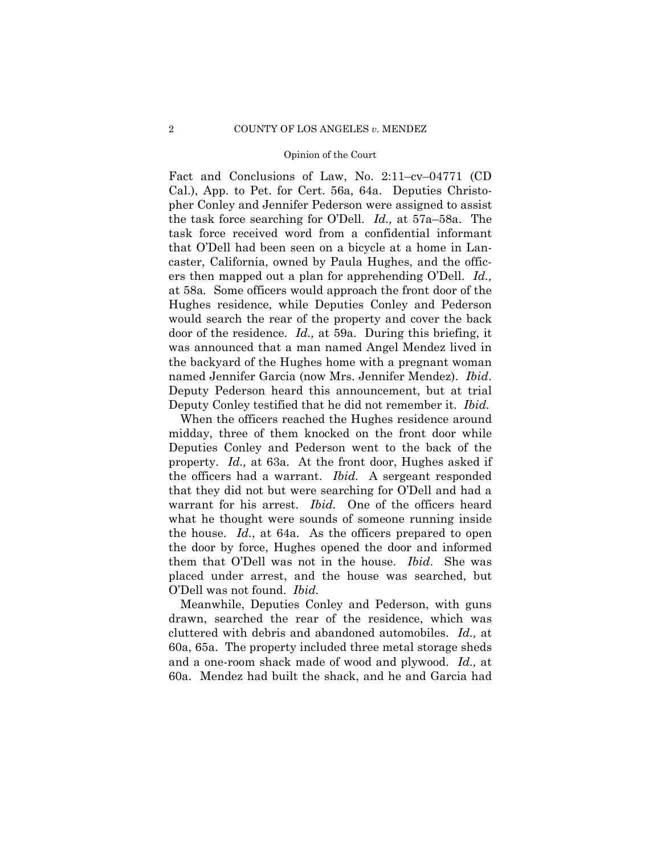at 58a*.* Some officers would approach the front door of the Fact and Conclusions of Law, No. 2:11–cv–04771 (CD Cal.), App. to Pet. for Cert. 56a, 64a. Deputies Christopher Conley and Jennifer Pederson were assigned to assist the task force searching for O'Dell. *Id.,* at 57a–58a. The task force received word from a confidential informant that O'Dell had been seen on a bicycle at a home in Lancaster, California, owned by Paula Hughes, and the officers then mapped out a plan for apprehending O'Dell. *Id.,*  Hughes residence, while Deputies Conley and Pederson would search the rear of the property and cover the back door of the residence. *Id.,* at 59a. During this briefing, it was announced that a man named Angel Mendez lived in the backyard of the Hughes home with a pregnant woman named Jennifer Garcia (now Mrs. Jennifer Mendez). *Ibid*. Deputy Pederson heard this announcement, but at trial Deputy Conley testified that he did not remember it. *Ibid.* 

When the officers reached the Hughes residence around midday, three of them knocked on the front door while Deputies Conley and Pederson went to the back of the property. *Id.,* at 63a. At the front door, Hughes asked if the officers had a warrant. *Ibid.* A sergeant responded that they did not but were searching for O'Dell and had a warrant for his arrest. *Ibid.* One of the officers heard what he thought were sounds of someone running inside the house. *Id.*, at 64a. As the officers prepared to open the door by force, Hughes opened the door and informed them that O'Dell was not in the house. *Ibid*. She was placed under arrest, and the house was searched, but O'Dell was not found. *Ibid.* 

Meanwhile, Deputies Conley and Pederson, with guns drawn, searched the rear of the residence, which was cluttered with debris and abandoned automobiles. *Id.,* at 60a, 65a. The property included three metal storage sheds and a one-room shack made of wood and plywood. *Id.,* at 60a. Mendez had built the shack, and he and Garcia had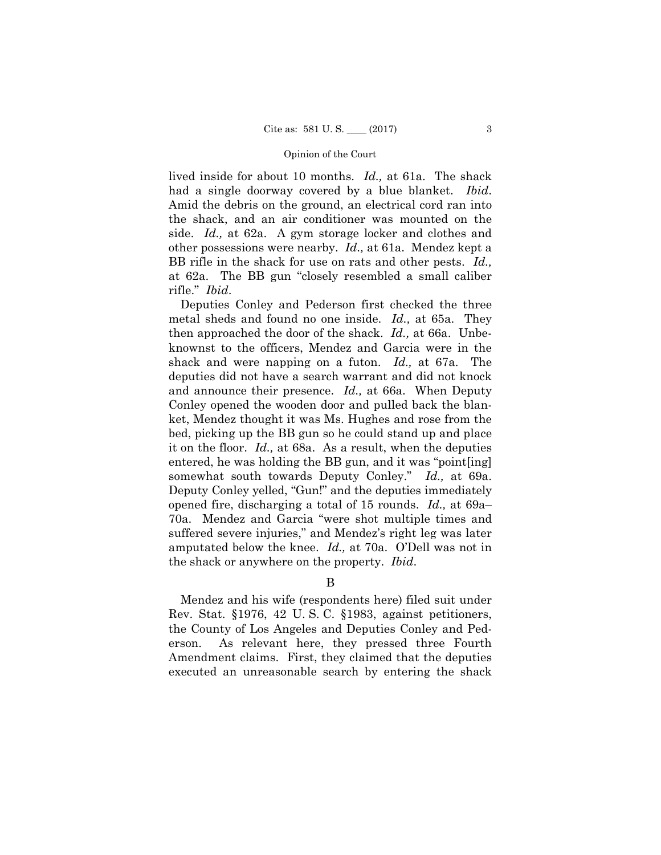lived inside for about 10 months. *Id.,* at 61a. The shack had a single doorway covered by a blue blanket. *Ibid*. Amid the debris on the ground, an electrical cord ran into the shack, and an air conditioner was mounted on the side. *Id.,* at 62a. A gym storage locker and clothes and other possessions were nearby. *Id.,* at 61a. Mendez kept a BB rifle in the shack for use on rats and other pests. *Id.,*  at 62a. The BB gun "closely resembled a small caliber rifle." *Ibid*.

 then approached the door of the shack. *Id.,* at 66a. Unbe-Deputies Conley and Pederson first checked the three metal sheds and found no one inside. *Id.,* at 65a. They knownst to the officers, Mendez and Garcia were in the shack and were napping on a futon. *Id.,* at 67a. The deputies did not have a search warrant and did not knock and announce their presence. *Id.,* at 66a. When Deputy Conley opened the wooden door and pulled back the blanket, Mendez thought it was Ms. Hughes and rose from the bed, picking up the BB gun so he could stand up and place it on the floor. *Id.,* at 68a. As a result, when the deputies entered, he was holding the BB gun, and it was "point[ing] somewhat south towards Deputy Conley." *Id.*, at 69a. Deputy Conley yelled, "Gun!" and the deputies immediately opened fire, discharging a total of 15 rounds. *Id.,* at 69a– 70a. Mendez and Garcia "were shot multiple times and suffered severe injuries," and Mendez's right leg was later amputated below the knee. *Id.,* at 70a. O'Dell was not in the shack or anywhere on the property. *Ibid*.

# B

Mendez and his wife (respondents here) filed suit under Rev. Stat. §1976, 42 U. S. C. §1983, against petitioners, the County of Los Angeles and Deputies Conley and Pederson. As relevant here, they pressed three Fourth Amendment claims. First, they claimed that the deputies executed an unreasonable search by entering the shack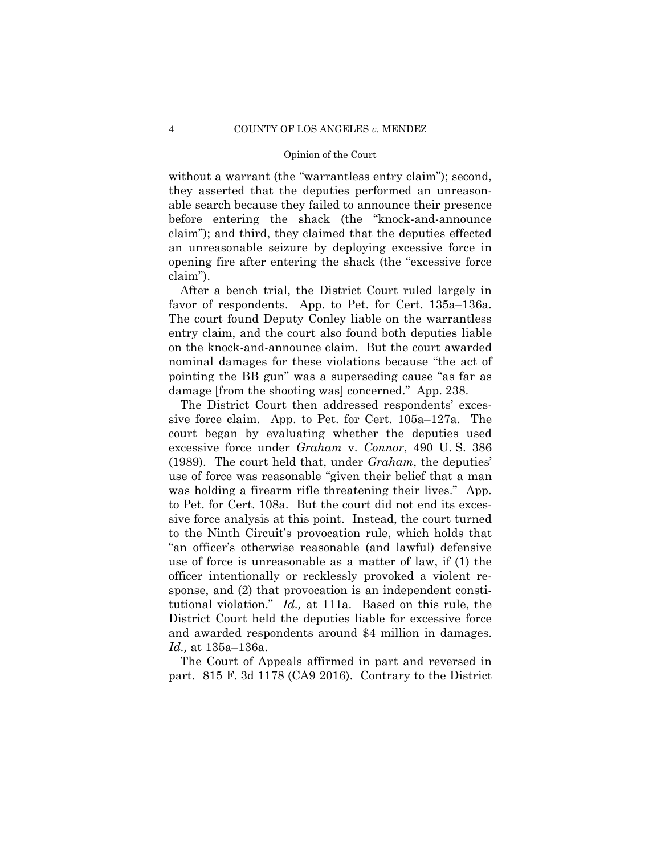without a warrant (the "warrantless entry claim"); second, they asserted that the deputies performed an unreasonable search because they failed to announce their presence before entering the shack (the "knock-and-announce claim"); and third, they claimed that the deputies effected an unreasonable seizure by deploying excessive force in opening fire after entering the shack (the "excessive force claim").

After a bench trial, the District Court ruled largely in favor of respondents. App. to Pet. for Cert. 135a–136a. The court found Deputy Conley liable on the warrantless entry claim, and the court also found both deputies liable on the knock-and-announce claim. But the court awarded nominal damages for these violations because "the act of pointing the BB gun" was a superseding cause "as far as damage [from the shooting was] concerned." App. 238.

The District Court then addressed respondents' excessive force claim. App. to Pet. for Cert. 105a–127a. The court began by evaluating whether the deputies used excessive force under *Graham* v. *Connor*, 490 U. S. 386 (1989). The court held that, under *Graham*, the deputies' use of force was reasonable "given their belief that a man was holding a firearm rifle threatening their lives." App. to Pet. for Cert. 108a. But the court did not end its excessive force analysis at this point. Instead, the court turned to the Ninth Circuit's provocation rule, which holds that "an officer's otherwise reasonable (and lawful) defensive use of force is unreasonable as a matter of law, if (1) the officer intentionally or recklessly provoked a violent response, and (2) that provocation is an independent constitutional violation." *Id.,* at 111a. Based on this rule, the District Court held the deputies liable for excessive force and awarded respondents around \$4 million in damages. *Id.,* at 135a–136a.

The Court of Appeals affirmed in part and reversed in part. 815 F. 3d 1178 (CA9 2016). Contrary to the District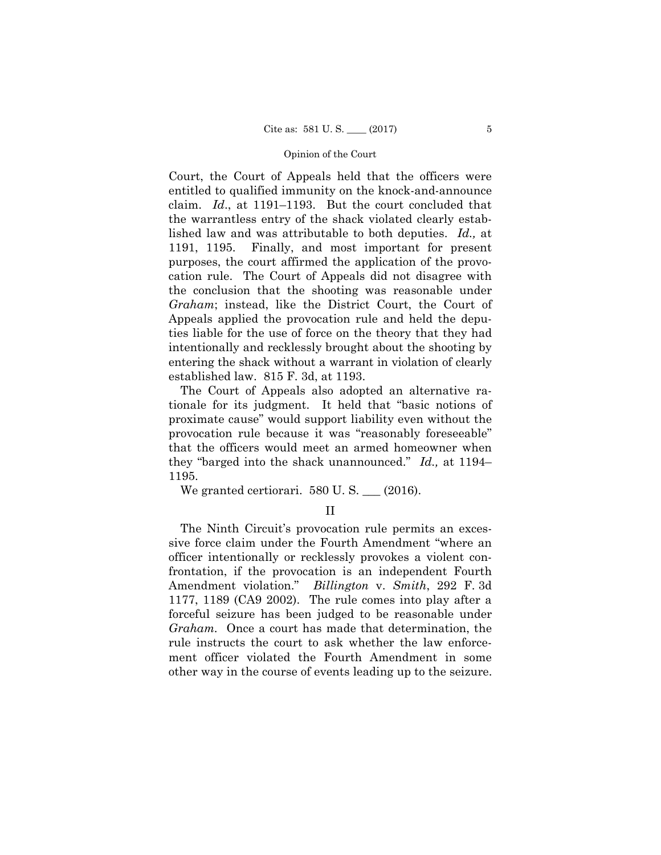Court, the Court of Appeals held that the officers were entitled to qualified immunity on the knock-and-announce claim. *Id*., at 1191–1193. But the court concluded that the warrantless entry of the shack violated clearly established law and was attributable to both deputies. *Id.,* at 1191, 1195. Finally, and most important for present purposes, the court affirmed the application of the provocation rule. The Court of Appeals did not disagree with the conclusion that the shooting was reasonable under *Graham*; instead, like the District Court, the Court of Appeals applied the provocation rule and held the deputies liable for the use of force on the theory that they had intentionally and recklessly brought about the shooting by entering the shack without a warrant in violation of clearly established law. 815 F. 3d, at 1193.

The Court of Appeals also adopted an alternative rationale for its judgment. It held that "basic notions of proximate cause" would support liability even without the provocation rule because it was "reasonably foreseeable" that the officers would meet an armed homeowner when they "barged into the shack unannounced." *Id.,* at 1194– 1195.

We granted certiorari.  $580$  U.S.  $\_\_$  (2016).

II

The Ninth Circuit's provocation rule permits an excessive force claim under the Fourth Amendment "where an officer intentionally or recklessly provokes a violent confrontation, if the provocation is an independent Fourth Amendment violation." *Billington* v. *Smith*, 292 F. 3d 1177, 1189 (CA9 2002). The rule comes into play after a forceful seizure has been judged to be reasonable under *Graham.* Once a court has made that determination, the rule instructs the court to ask whether the law enforcement officer violated the Fourth Amendment in some other way in the course of events leading up to the seizure.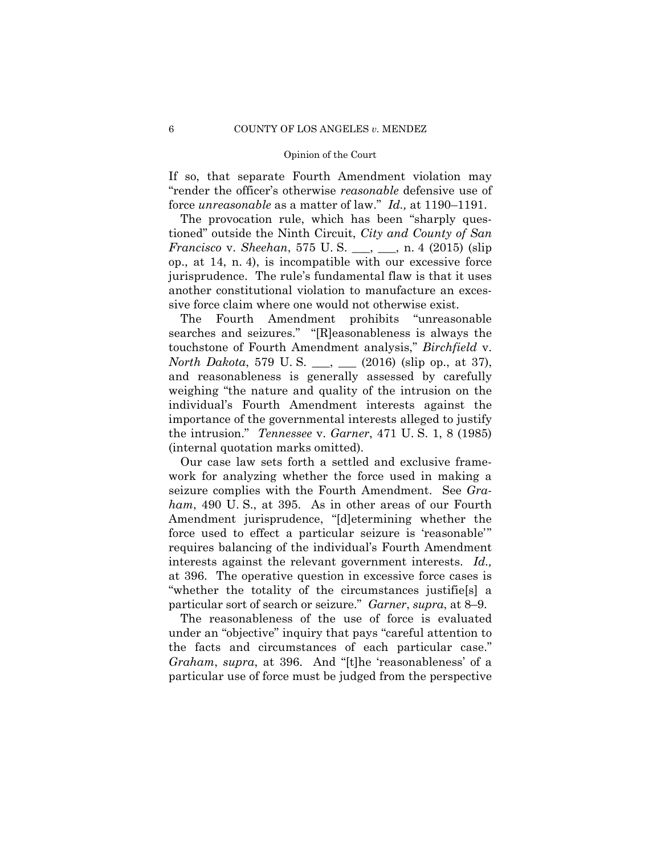If so, that separate Fourth Amendment violation may "render the officer's otherwise *reasonable* defensive use of force *unreasonable* as a matter of law." *Id.,* at 1190–1191.

The provocation rule, which has been "sharply questioned" outside the Ninth Circuit, *City and County of San Francisco* v. *Sheehan*, 575 U. S. \_\_\_, \_\_\_, n. 4 (2015) (slip op., at 14, n. 4), is incompatible with our excessive force jurisprudence. The rule's fundamental flaw is that it uses another constitutional violation to manufacture an excessive force claim where one would not otherwise exist.

The Fourth Amendment prohibits "unreasonable searches and seizures." "[R]easonableness is always the touchstone of Fourth Amendment analysis," *Birchfield* v. *North Dakota*, 579 U.S. \_\_, \_\_ (2016) (slip op., at 37), and reasonableness is generally assessed by carefully weighing "the nature and quality of the intrusion on the individual's Fourth Amendment interests against the importance of the governmental interests alleged to justify the intrusion." *Tennessee* v. *Garner*, 471 U. S. 1, 8 (1985) (internal quotation marks omitted).

Our case law sets forth a settled and exclusive framework for analyzing whether the force used in making a seizure complies with the Fourth Amendment. See *Graham*, 490 U. S., at 395. As in other areas of our Fourth Amendment jurisprudence, "[d]etermining whether the force used to effect a particular seizure is 'reasonable'" requires balancing of the individual's Fourth Amendment interests against the relevant government interests. *Id.,*  at 396. The operative question in excessive force cases is "whether the totality of the circumstances justifie[s] a particular sort of search or seizure." *Garner*, *supra*, at 8–9.

The reasonableness of the use of force is evaluated under an "objective" inquiry that pays "careful attention to the facts and circumstances of each particular case." *Graham*, *supra*, at 396. And "[t]he 'reasonableness' of a particular use of force must be judged from the perspective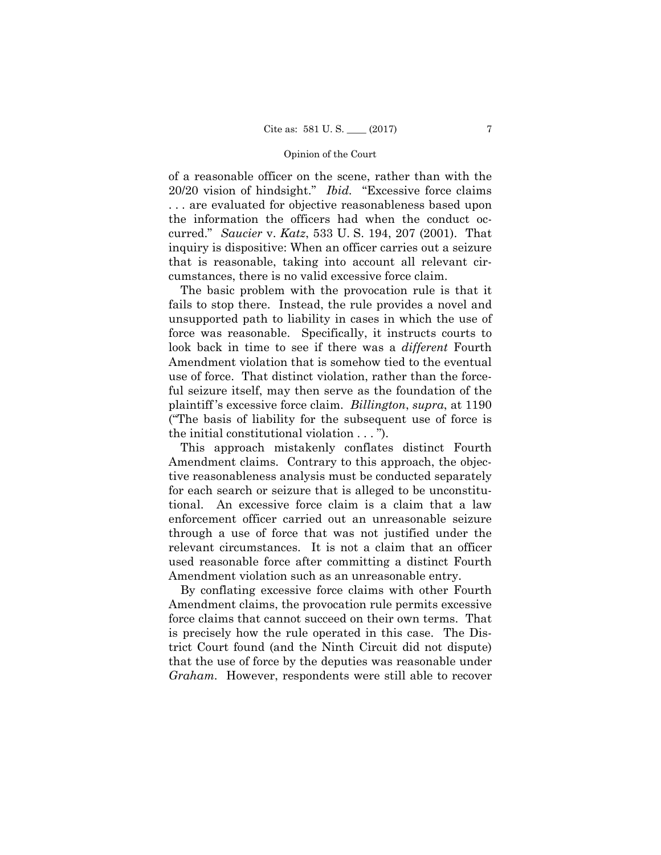of a reasonable officer on the scene, rather than with the 20/20 vision of hindsight." *Ibid.* "Excessive force claims . . . are evaluated for objective reasonableness based upon the information the officers had when the conduct occurred." *Saucier* v. *Katz*, 533 U. S. 194, 207 (2001). That inquiry is dispositive: When an officer carries out a seizure that is reasonable, taking into account all relevant circumstances, there is no valid excessive force claim.

The basic problem with the provocation rule is that it fails to stop there. Instead, the rule provides a novel and unsupported path to liability in cases in which the use of force was reasonable. Specifically, it instructs courts to look back in time to see if there was a *different* Fourth Amendment violation that is somehow tied to the eventual use of force. That distinct violation, rather than the forceful seizure itself, may then serve as the foundation of the plaintiff 's excessive force claim. *Billington*, *supra*, at 1190 ("The basis of liability for the subsequent use of force is the initial constitutional violation . . . ").

This approach mistakenly conflates distinct Fourth Amendment claims. Contrary to this approach, the objective reasonableness analysis must be conducted separately for each search or seizure that is alleged to be unconstitutional. An excessive force claim is a claim that a law enforcement officer carried out an unreasonable seizure through a use of force that was not justified under the relevant circumstances. It is not a claim that an officer used reasonable force after committing a distinct Fourth Amendment violation such as an unreasonable entry.

By conflating excessive force claims with other Fourth Amendment claims, the provocation rule permits excessive force claims that cannot succeed on their own terms. That is precisely how the rule operated in this case. The District Court found (and the Ninth Circuit did not dispute) that the use of force by the deputies was reasonable under *Graham.* However, respondents were still able to recover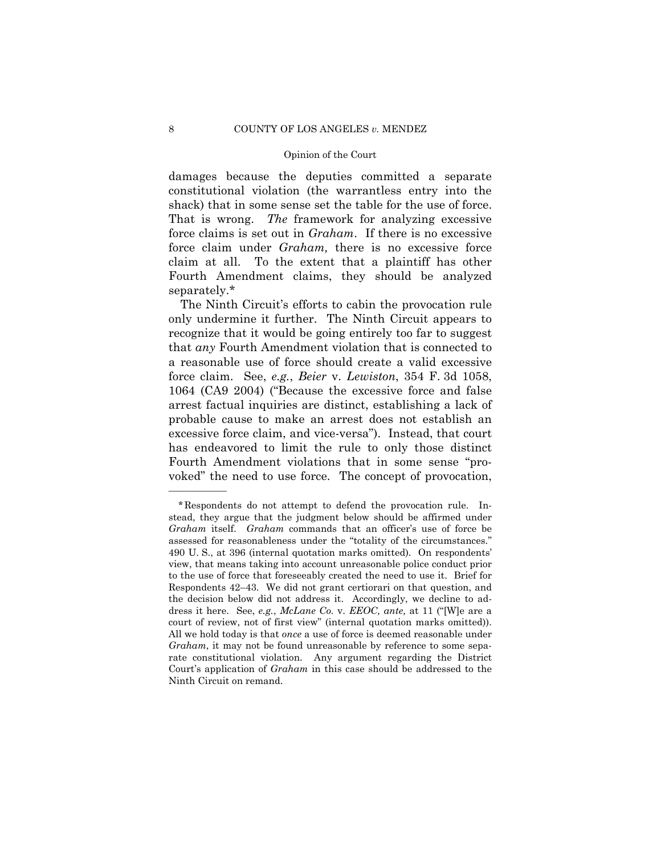damages because the deputies committed a separate constitutional violation (the warrantless entry into the shack) that in some sense set the table for the use of force. That is wrong. *The* framework for analyzing excessive force claims is set out in *Graham*. If there is no excessive force claim under *Graham,* there is no excessive force claim at all. To the extent that a plaintiff has other Fourth Amendment claims, they should be analyzed separately.\*

The Ninth Circuit's efforts to cabin the provocation rule only undermine it further. The Ninth Circuit appears to recognize that it would be going entirely too far to suggest that *any* Fourth Amendment violation that is connected to a reasonable use of force should create a valid excessive force claim. See, *e.g.*, *Beier* v. *Lewiston*, 354 F. 3d 1058, 1064 (CA9 2004) ("Because the excessive force and false arrest factual inquiries are distinct, establishing a lack of probable cause to make an arrest does not establish an excessive force claim, and vice-versa"). Instead, that court has endeavored to limit the rule to only those distinct Fourth Amendment violations that in some sense "provoked" the need to use force. The concept of provocation,

——————

 court of review, not of first view" (internal quotation marks omitted)). \*Respondents do not attempt to defend the provocation rule. Instead, they argue that the judgment below should be affirmed under *Graham* itself. *Graham* commands that an officer's use of force be assessed for reasonableness under the "totality of the circumstances." 490 U. S., at 396 (internal quotation marks omitted). On respondents' view, that means taking into account unreasonable police conduct prior to the use of force that foreseeably created the need to use it. Brief for Respondents 42–43. We did not grant certiorari on that question, and the decision below did not address it. Accordingly, we decline to address it here. See, *e.g.*, *McLane Co.* v. *EEOC, ante,* at 11 ("[W]e are a All we hold today is that *once* a use of force is deemed reasonable under *Graham*, it may not be found unreasonable by reference to some separate constitutional violation. Any argument regarding the District Court's application of *Graham* in this case should be addressed to the Ninth Circuit on remand.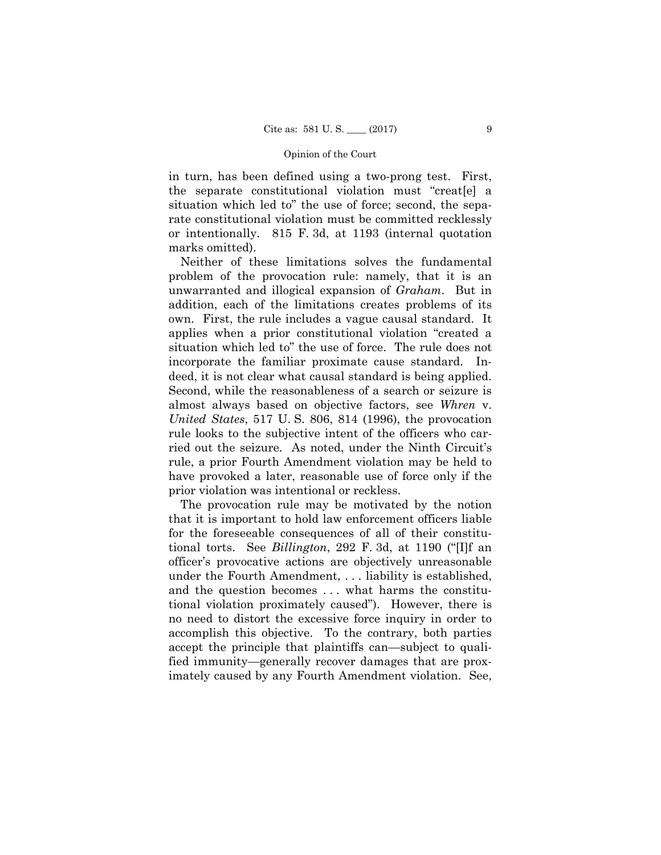in turn, has been defined using a two-prong test. First, the separate constitutional violation must "creat[e] a situation which led to" the use of force; second, the separate constitutional violation must be committed recklessly or intentionally. 815 F. 3d, at 1193 (internal quotation marks omitted).

 deed, it is not clear what causal standard is being applied. Neither of these limitations solves the fundamental problem of the provocation rule: namely, that it is an unwarranted and illogical expansion of *Graham*. But in addition, each of the limitations creates problems of its own. First, the rule includes a vague causal standard. It applies when a prior constitutional violation "created a situation which led to" the use of force. The rule does not incorporate the familiar proximate cause standard. In-Second, while the reasonableness of a search or seizure is almost always based on objective factors, see *Whren* v. *United States*, 517 U. S. 806, 814 (1996), the provocation rule looks to the subjective intent of the officers who carried out the seizure. As noted, under the Ninth Circuit's rule, a prior Fourth Amendment violation may be held to have provoked a later, reasonable use of force only if the prior violation was intentional or reckless.

The provocation rule may be motivated by the notion that it is important to hold law enforcement officers liable for the foreseeable consequences of all of their constitutional torts. See *Billington*, 292 F. 3d, at 1190 ("[I]f an officer's provocative actions are objectively unreasonable under the Fourth Amendment, . . . liability is established, and the question becomes . . . what harms the constitutional violation proximately caused"). However, there is no need to distort the excessive force inquiry in order to accomplish this objective. To the contrary, both parties accept the principle that plaintiffs can—subject to qualified immunity—generally recover damages that are proximately caused by any Fourth Amendment violation. See,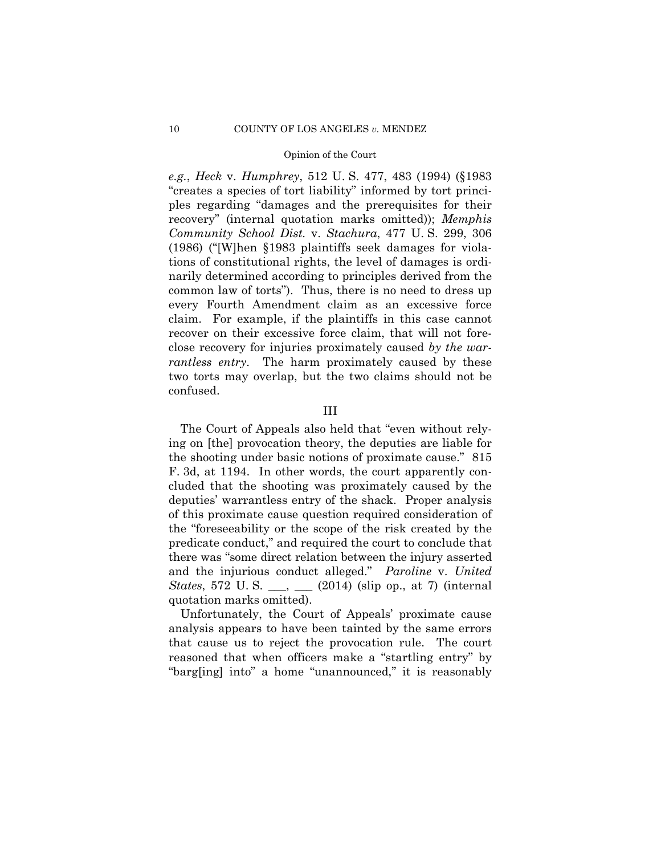*rantless entry*. The harm proximately caused by these *e.g.*, *Heck* v. *Humphrey*, 512 U. S. 477, 483 (1994) (§1983 "creates a species of tort liability" informed by tort principles regarding "damages and the prerequisites for their recovery" (internal quotation marks omitted)); *Memphis Community School Dist.* v. *Stachura*, 477 U. S. 299, 306 (1986) ("[W]hen §1983 plaintiffs seek damages for violations of constitutional rights, the level of damages is ordinarily determined according to principles derived from the common law of torts"). Thus, there is no need to dress up every Fourth Amendment claim as an excessive force claim. For example, if the plaintiffs in this case cannot recover on their excessive force claim, that will not foreclose recovery for injuries proximately caused *by the war*two torts may overlap, but the two claims should not be confused.

# III

The Court of Appeals also held that "even without relying on [the] provocation theory, the deputies are liable for the shooting under basic notions of proximate cause." 815 F. 3d, at 1194. In other words, the court apparently concluded that the shooting was proximately caused by the deputies' warrantless entry of the shack. Proper analysis of this proximate cause question required consideration of the "foreseeability or the scope of the risk created by the predicate conduct," and required the court to conclude that there was "some direct relation between the injury asserted and the injurious conduct alleged." *Paroline* v. *United States*, 572 U.S. \_\_, \_\_ (2014) (slip op., at 7) (internal quotation marks omitted).

Unfortunately, the Court of Appeals' proximate cause analysis appears to have been tainted by the same errors that cause us to reject the provocation rule. The court reasoned that when officers make a "startling entry" by "barg[ing] into" a home "unannounced," it is reasonably